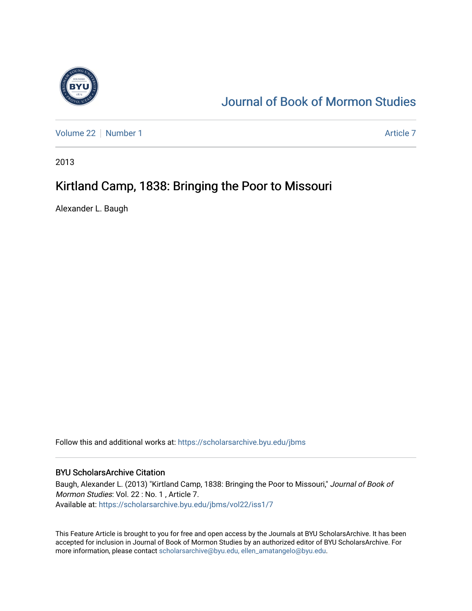

## [Journal of Book of Mormon Studies](https://scholarsarchive.byu.edu/jbms)

[Volume 22](https://scholarsarchive.byu.edu/jbms/vol22) [Number 1](https://scholarsarchive.byu.edu/jbms/vol22/iss1) [Article 7](https://scholarsarchive.byu.edu/jbms/vol22/iss1/7) Article 7 Article 7 Article 7 Article 7 Article 7 Article 7

2013

### Kirtland Camp, 1838: Bringing the Poor to Missouri

Alexander L. Baugh

Follow this and additional works at: [https://scholarsarchive.byu.edu/jbms](https://scholarsarchive.byu.edu/jbms?utm_source=scholarsarchive.byu.edu%2Fjbms%2Fvol22%2Fiss1%2F7&utm_medium=PDF&utm_campaign=PDFCoverPages) 

#### BYU ScholarsArchive Citation

Baugh, Alexander L. (2013) "Kirtland Camp, 1838: Bringing the Poor to Missouri," Journal of Book of Mormon Studies: Vol. 22 : No. 1 , Article 7. Available at: [https://scholarsarchive.byu.edu/jbms/vol22/iss1/7](https://scholarsarchive.byu.edu/jbms/vol22/iss1/7?utm_source=scholarsarchive.byu.edu%2Fjbms%2Fvol22%2Fiss1%2F7&utm_medium=PDF&utm_campaign=PDFCoverPages) 

This Feature Article is brought to you for free and open access by the Journals at BYU ScholarsArchive. It has been accepted for inclusion in Journal of Book of Mormon Studies by an authorized editor of BYU ScholarsArchive. For more information, please contact [scholarsarchive@byu.edu, ellen\\_amatangelo@byu.edu.](mailto:scholarsarchive@byu.edu,%20ellen_amatangelo@byu.edu)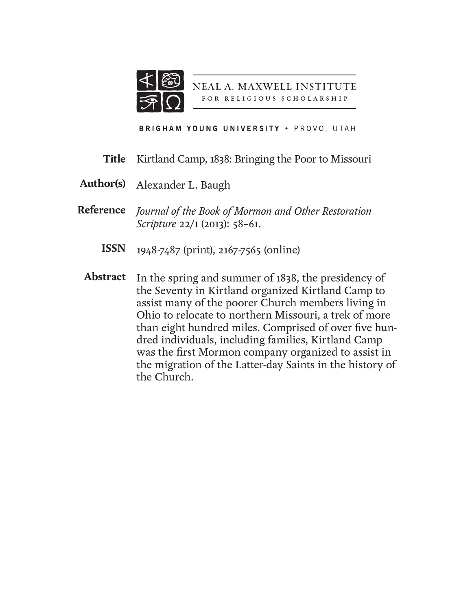

NEAL A. MAXWELL INSTITUTE FOR RELIGIOUS SCHOLARSHIP

BRIGHAM YOUNG UNIVERSITY . PROVO, UTAH

- Kirtland Camp, 1838: Bringing the Poor to Missouri **Title**
- Alexander L. Baugh **Author(s)**
- *Journal of the Book of Mormon and Other Restoration*  **Reference** *Scripture* 22/1 (2013): 58–61.
	- 1948-7487 (print), 2167-7565 (online) **ISSN**
	- Abstract In the spring and summer of 1838, the presidency of the Seventy in Kirtland organized Kirtland Camp to assist many of the poorer Church members living in Ohio to relocate to northern Missouri, a trek of more than eight hundred miles. Comprised of over five hundred individuals, including families, Kirtland Camp was the first Mormon company organized to assist in the migration of the Latter-day Saints in the history of the Church.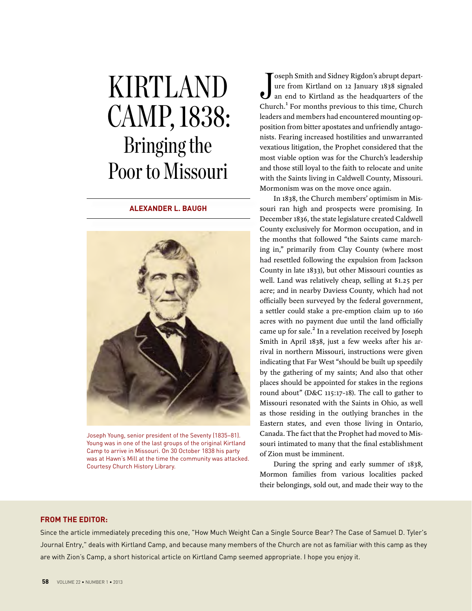# kirtland CAMP, 1838: Bringing the Poor to Missouri

#### **alexander l. baugh**



Joseph Young, senior president of the Seventy (1835–81). Young was in one of the last groups of the original Kirtland Camp to arrive in Missouri. On 30 October 1838 his party was at Hawn's Mill at the time the community was attacked. Courtesy Church History Library.

Joseph Smith and Sidney Rigdon's abrupt depart-<br>ure from Kirtland on 12 January 1838 signaled<br>an end to Kirtland as the headquarters of the<br>Church.<sup>1</sup> For months previous to this time, Church oseph Smith and Sidney Rigdon's abrupt departure from Kirtland on 12 January 1838 signaled an end to Kirtland as the headquarters of the leaders and members had encountered mounting opposition from bitter apostates and unfriendly antagonists. Fearing increased hostilities and unwarranted vexatious litigation, the Prophet considered that the most viable option was for the Church's leadership and those still loyal to the faith to relocate and unite with the Saints living in Caldwell County, Missouri. Mormonism was on the move once again.

In 1838, the Church members' optimism in Missouri ran high and prospects were promising. In December 1836, the state legislature created Caldwell County exclusively for Mormon occupation, and in the months that followed "the Saints came marching in," primarily from Clay County (where most had resettled following the expulsion from Jackson County in late 1833), but other Missouri counties as well. Land was relatively cheap, selling at \$1.25 per acre; and in nearby Daviess County, which had not officially been surveyed by the federal government, a settler could stake a pre-emption claim up to 160 acres with no payment due until the land officially came up for sale.<sup>2</sup> In a revelation received by Joseph Smith in April 1838, just a few weeks after his arrival in northern Missouri, instructions were given indicating that Far West "should be built up speedily by the gathering of my saints; And also that other places should be appointed for stakes in the regions round about" (D&C 115:17–18). The call to gather to Missouri resonated with the Saints in Ohio, as well as those residing in the outlying branches in the Eastern states, and even those living in Ontario, Canada. The fact that the Prophet had moved to Missouri intimated to many that the final establishment of Zion must be imminent.

During the spring and early summer of 1838, Mormon families from various localities packed their belongings, sold out, and made their way to the

#### **FROM THE EDITOR:**

Since the article immediately preceding this one, "How Much Weight Can a Single Source Bear? The Case of Samuel D. Tyler's Journal Entry," deals with Kirtland Camp, and because many members of the Church are not as familiar with this camp as they are with Zion's Camp, a short historical article on Kirtland Camp seemed appropriate. I hope you enjoy it.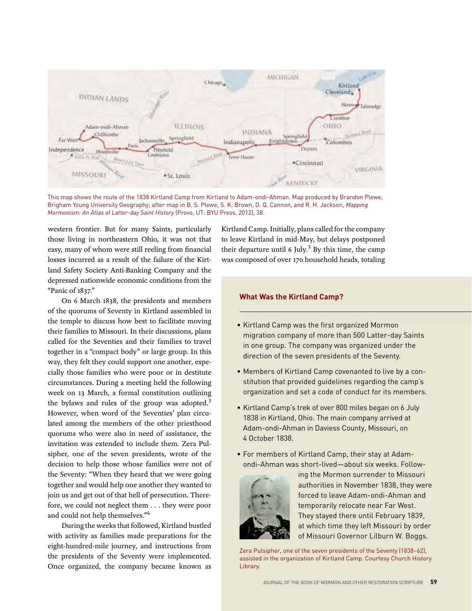

This map shows the route of the 1838 Kirtland Camp from Kirtland to Adam-ondi-Ahman. Map produced by Brandon Plewe, Brigham Young University Geography; after map in B. S. Plewe, S. K. Brown, D. Q. Cannon, and R. H. Jackson, *Mapping Mormonism: An Atlas of Latter-day Saint History* (Provo, UT: BYU Press, 2012), 38.

western frontier. But for many Saints, particularly those living in northeastern Ohio, it was not that easy, many of whom were still reeling from financial losses incurred as a result of the failure of the Kirtland Safety Society Anti-Banking Company and the depressed nationwide economic conditions from the "Panic of 1837."

On 6 March 1838, the presidents and members of the quorums of Seventy in Kirtland assembled in the temple to discuss how best to facilitate moving their families to Missouri. In their discussions, plans called for the Seventies and their families to travel together in a "compact body" or large group. In this way, they felt they could support one another, especially those families who were poor or in destitute circumstances. During a meeting held the following week on 13 March, a formal constitution outlining the bylaws and rules of the group was adopted.<sup>3</sup> However, when word of the Seventies' plan circulated among the members of the other priesthood quorums who were also in need of assistance, the invitation was extended to include them. Zera Pulsipher, one of the seven presidents, wrote of the decision to help those whose families were not of the Seventy: "When they heard that we were going together and would help one another they wanted to join us and get out of that hell of persecution. Therefore, we could not neglect them . . . they were poor and could not help themselves."4

During the weeks that followed, Kirtland bustled with activity as families made preparations for the eight-hundred-mile journey, and instructions from the presidents of the Seventy were implemented. Once organized, the company became known as Kirtland Camp. Initially, plans called for the company to leave Kirtland in mid-May, but delays postponed their departure until 6 July.<sup>5</sup> By this time, the camp was composed of over 170 household heads, totaling

#### **What Was the Kirtland Camp?**

- Kirtland Camp was the first organized Mormon migration company of more than 500 Latter-day Saints in one group. The company was organized under the direction of the seven presidents of the Seventy.
- Members of Kirtland Camp covenanted to live by a constitution that provided guidelines regarding the camp's organization and set a code of conduct for its members.
- Kirtland Camp's trek of over 800 miles began on 6 July 1838 in Kirtland, Ohio. The main company arrived at Adam-ondi-Ahman in Daviess County, Missouri, on 4 October 1838.
- For members of Kirtland Camp, their stay at Adamondi-Ahman was short-lived—about six weeks. Follow-



ing the Mormon surrender to Missouri authorities in November 1838, they were forced to leave Adam-ondi-Ahman and temporarily relocate near Far West. They stayed there until February 1839, at which time they left Missouri by order of Missouri Governor Lilburn W. Boggs.

Zera Pulsipher, one of the seven presidents of the Seventy (1838–62), assisted in the organization of Kirtland Camp. Courtesy Church History Library.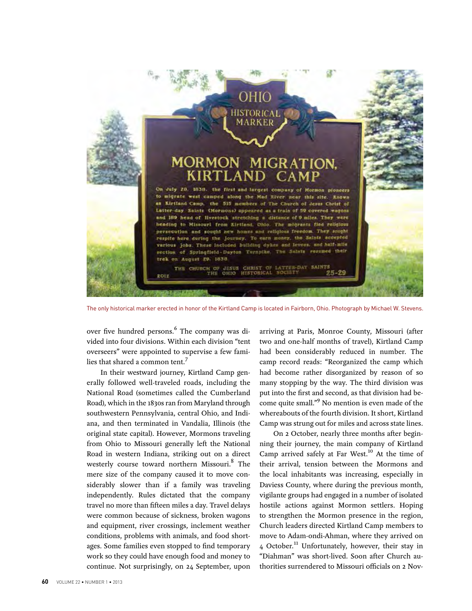

The only historical marker erected in honor of the Kirtland Camp is located in Fairborn, Ohio. Photograph by Michael W. Stevens.

over five hundred persons.<sup>6</sup> The company was divided into four divisions. Within each division "tent overseers" were appointed to supervise a few families that shared a common tent.<sup>7</sup>

In their westward journey, Kirtland Camp generally followed well-traveled roads, including the National Road (sometimes called the Cumberland Road), which in the 1830s ran from Maryland through southwestern Pennsylvania, central Ohio, and Indiana, and then terminated in Vandalia, Illinois (the original state capital). However, Mormons traveling from Ohio to Missouri generally left the National Road in western Indiana, striking out on a direct westerly course toward northern Missouri.<sup>8</sup> The mere size of the company caused it to move considerably slower than if a family was traveling independently. Rules dictated that the company travel no more than fifteen miles a day. Travel delays were common because of sickness, broken wagons and equipment, river crossings, inclement weather conditions, problems with animals, and food shortages. Some families even stopped to find temporary work so they could have enough food and money to continue. Not surprisingly, on 24 September, upon

arriving at Paris, Monroe County, Missouri (after two and one-half months of travel), Kirtland Camp had been considerably reduced in number. The camp record reads: "Reorganized the camp which had become rather disorganized by reason of so many stopping by the way. The third division was put into the first and second, as that division had become quite small."<sup>9</sup> No mention is even made of the whereabouts of the fourth division. It short, Kirtland Camp was strung out for miles and across state lines.

On 2 October, nearly three months after beginning their journey, the main company of Kirtland Camp arrived safely at Far West.<sup>10</sup> At the time of their arrival, tension between the Mormons and the local inhabitants was increasing, especially in Daviess County, where during the previous month, vigilante groups had engaged in a number of isolated hostile actions against Mormon settlers. Hoping to strengthen the Mormon presence in the region, Church leaders directed Kirtland Camp members to move to Adam-ondi-Ahman, where they arrived on 4 October.<sup>11</sup> Unfortunately, however, their stay in "Diahman" was short-lived. Soon after Church authorities surrendered to Missouri officials on 2 Nov